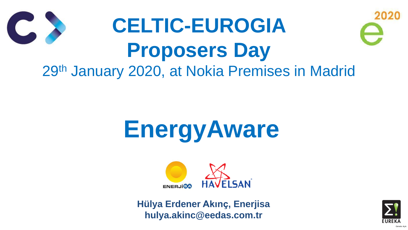# **EnergyAware**



## **CELTIC-EUROGIA Proposers Day** 29th January 2020, at Nokia Premises in Madrid

**Hülya Erdener Akınç, Enerjisa hulya.akinc@eedas.com.tr**



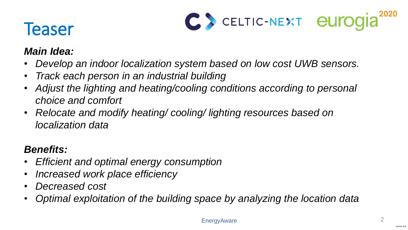

## **Teaser**

### *Main Idea:*

• *Develop an indoor localization system based on low cost UWB sensors.*

- 
- *Track each person in an industrial building*
- Adjust the lighting and heating/cooling conditions according to personal *choice and comfort*
- *Relocate and modify heating/ cooling/ lighting resources based on localization data*

### *Benefits:*

- *Efficient and optimal energy consumption*
- *Increased work place efficiency*
- *Decreased cost*
- 



• *Optimal exploitation of the building space by analyzing the location data* 

**EnergyAware**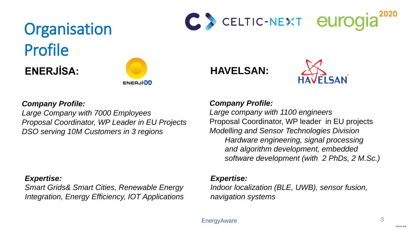

## Organisation Profile ENERJİSA: **WELLSAN:**



### *Expertise:*

*Indoor localization (BLE, UWB), sensor fusion, navigation systems*

*Expertise: Smart Grids& Smart Cities, Renewable Energy Integration, Energy Efficiency, IOT Applications*





*Company Profile:*

*Large company with 1100 engineers* Proposal Coordinator, WP leader in EU projects *Modelling and Sensor Technologies Division Hardware engineering, signal processing and algorithm development, embedded software development (with 2 PhDs, 2 M.Sc.)*

*Company Profile: Large Company with 7000 Employees Proposal Coordinator, WP Leader in EU Projects DSO serving 10M Customers in 3 regions*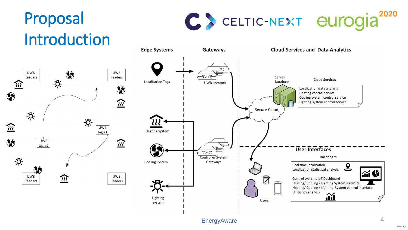



## Proposal Introduction



**Edge Systems** 



Lighting System



EnergyAware 4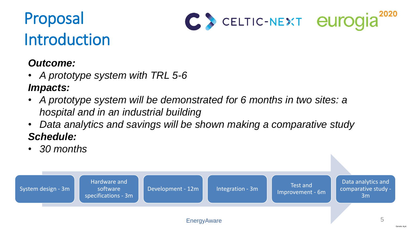

## Proposal Introduction



System design - 3m

Hardware and software specifications - 3m





EnergyAware 5

### *Outcome:*

- *A prototype system with TRL 5-6 Impacts:*
- *A prototype system will be demonstrated for 6 months in two sites: a hospital and in an industrial building*
- *Data analytics and savings will be shown making a comparative study Schedule:*
- *30 months*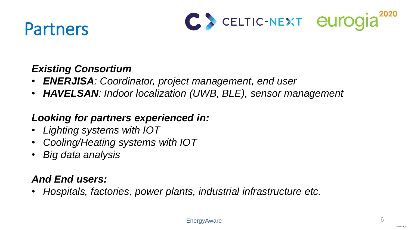## Partners



6

### *Existing Consortium*

- *ENERJISA: Coordinator, project management, end user*
- *HAVELSAN: Indoor localization (UWB, BLE), sensor management*

### *Looking for partners experienced in:*

- *Lighting systems with IOT*
- *Cooling/Heating systems with IOT*
- *Big data analysis*

### *And End users:*

• *Hospitals, factories, power plants, industrial infrastructure etc.*

![](_page_5_Picture_11.jpeg)

**EnergyAware** 

![](_page_5_Picture_16.jpeg)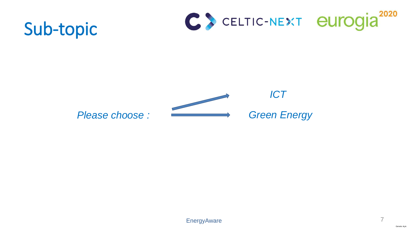![](_page_6_Picture_7.jpeg)

![](_page_6_Picture_0.jpeg)

![](_page_6_Picture_1.jpeg)

### *Please choose :*

![](_page_6_Picture_5.jpeg)

![](_page_6_Picture_2.jpeg)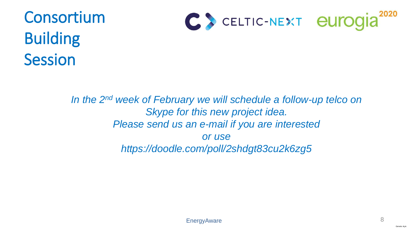![](_page_7_Picture_7.jpeg)

## Consortium Building Session

![](_page_7_Picture_1.jpeg)

In the 2<sup>nd</sup> week of February we will schedule a follow-up telco on *Skype for this new project idea. Please send us an e-mail if you are interested or use https://doodle.com/poll/2shdgt83cu2k6zg5*

![](_page_7_Picture_4.jpeg)